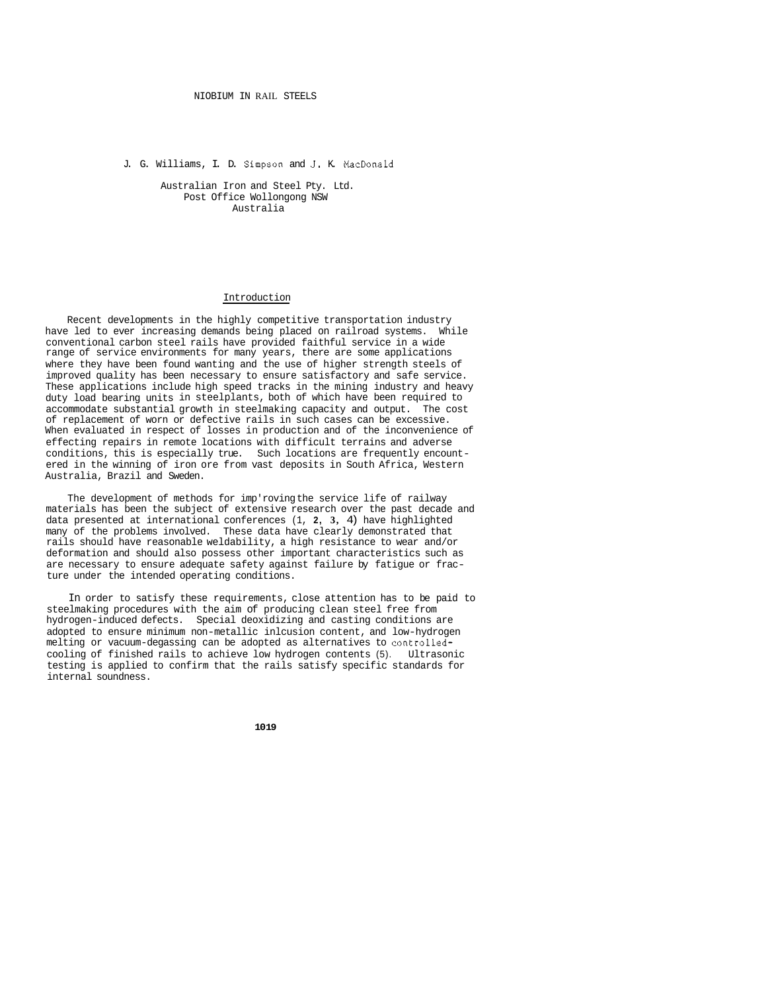#### NIOBIUM IN RAIL STEELS

J. G. Williams, I. D. Simpson and **J.** K. MacDonald

Australian Iron and Steel Pty. Ltd. Post Office Wollongong NSW Australia

### Introduction

Recent developments in the highly competitive transportation industry have led to ever increasing demands being placed on railroad systems. While conventional carbon steel rails have provided faithful service in a wide range of service environments for many years, there are some applications where they have been found wanting and the use of higher strength steels of improved quality has been necessary to ensure satisfactory and safe service. These applications include high speed tracks in the mining industry and heavy duty load bearing units in steelplants, both of which have been required to accommodate substantial growth in steelmaking capacity and output. The cost of replacement of worn or defective rails in such cases can be excessive. When evaluated in respect of losses in production and of the inconvenience of effecting repairs in remote locations with difficult terrains and adverse conditions, this is especially true. Such locations are frequently encountered in the winning of iron ore from vast deposits in South Africa, Western Australia, Brazil and Sweden.

The development of methods for imp'roving the service life of railway materials has been the subject of extensive research over the past decade and data presented at international conferences (1, **2, 3,** 4) have highlighted many of the problems involved. These data have clearly demonstrated that rails should have reasonable weldability, a high resistance to wear and/or deformation and should also possess other important characteristics such as are necessary to ensure adequate safety against failure by fatigue or fracture under the intended operating conditions.

In order to satisfy these requirements, close attention has to be paid to steelmaking procedures with the aim of producing clean steel free from hydrogen-induced defects. Special deoxidizing and casting conditions are adopted to ensure minimum non-metallic inlcusion content, and low-hydrogen melting or vacuum-degassing can be adopted as alternatives to controlled-<br>cooling of finished rails to achieve low hydrogen contents (5). Ultrasonic cooling of finished rails to achieve low hydrogen contents (5). testing is applied to confirm that the rails satisfy specific standards for internal soundness.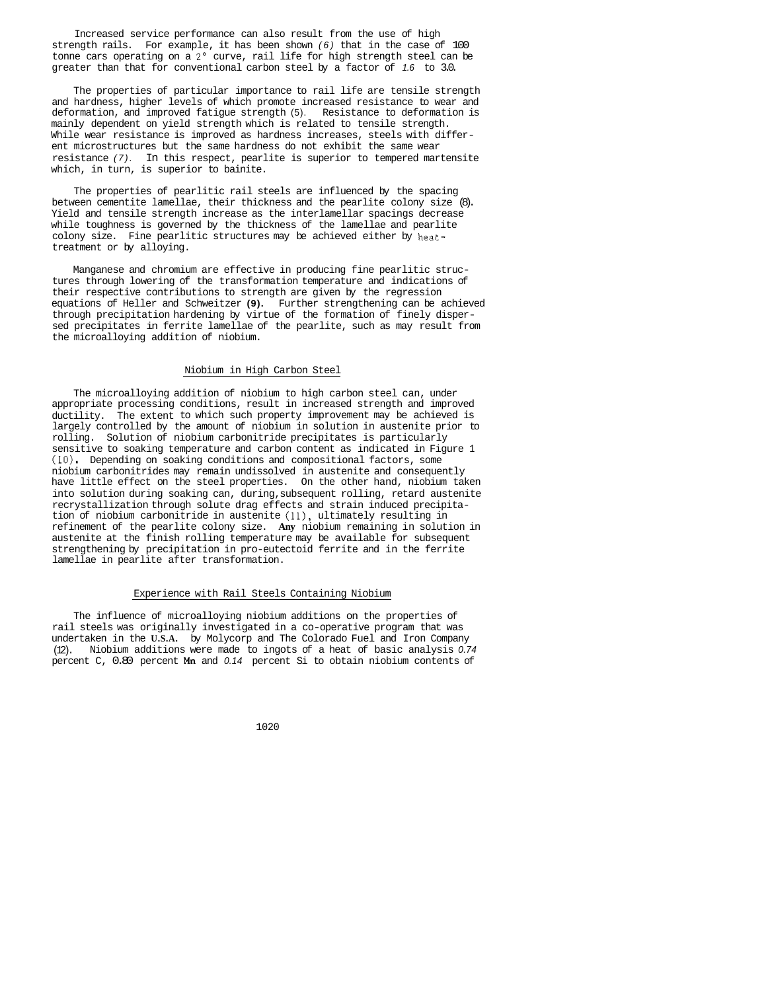Increased service performance can also result from the use of high strength rails. For example, it has been shown *(6)* that in the case of 100 tonne cars operating on a 2' curve, rail life for high strength steel can be greater than that for conventional carbon steel by a factor of *1.6* to 3.0.

The properties of particular importance to rail life are tensile strength and hardness, higher levels of which promote increased resistance to wear and deformation, and improved fatigue strength (5). Resistance to deformation is mainly dependent on yield strength which is related to tensile strength. While wear resistance is improved as hardness increases, steels with different microstructures but the same hardness do not exhibit the same wear resistance *(7).* In this respect, pearlite is superior to tempered martensite which, in turn, is superior to bainite.

The properties of pearlitic rail steels are influenced by the spacing between cementite lamellae, their thickness and the pearlite colony size (8). Yield and tensile strength increase as the interlamellar spacings decrease while toughness is governed by the thickness of the lamellae and pearlite colony size. Fine pearlitic structures may be achieved either by heattreatment or by alloying.

Manganese and chromium are effective in producing fine pearlitic structures through lowering of the transformation temperature and indications of their respective contributions to strength are given by the regression equations of Heller and Schweitzer **(9).** Further strengthening can be achieved through precipitation hardening by virtue of the formation of finely dispersed precipitates in ferrite lamellae of the pearlite, such as may result from the microalloying addition of niobium.

# Niobium in High Carbon Steel

The microalloying addition of niobium to high carbon steel can, under appropriate processing conditions, result in increased strength and improved ductility. The extent to which such property improvement may be achieved is largely controlled by the amount of niobium in solution in austenite prior to rolling. Solution of niobium carbonitride precipitates is particularly sensitive to soaking temperature and carbon content as indicated in Figure 1 (10). Depending on soaking conditions and compositional factors, some niobium carbonitrides may remain undissolved in austenite and consequently have little effect on the steel properties. On the other hand, niobium taken into solution during soaking can, during, subsequent rolling, retard austenite recrystallization through solute drag effects and strain induced precipitation of niobium carbonitride in austenite **(111,** ultimately resulting in refinement of the pearlite colony size. **Any** niobium remaining in solution in austenite at the finish rolling temperature may be available for subsequent strengthening by precipitation in pro-eutectoid ferrite and in the ferrite lamellae in pearlite after transformation.

# Experience with Rail Steels Containing Niobium

The influence of microalloying niobium additions on the properties of rail steels was originally investigated in a co-operative program that was undertaken in the **U.S.A.** by Molycorp and The Colorado Fuel and Iron Company (12). Niobium additions were made to ingots of a heat of basic analysis *0.74*  percent C, 0.80 percent **Mn** and *0.14* percent Si to obtain niobium contents of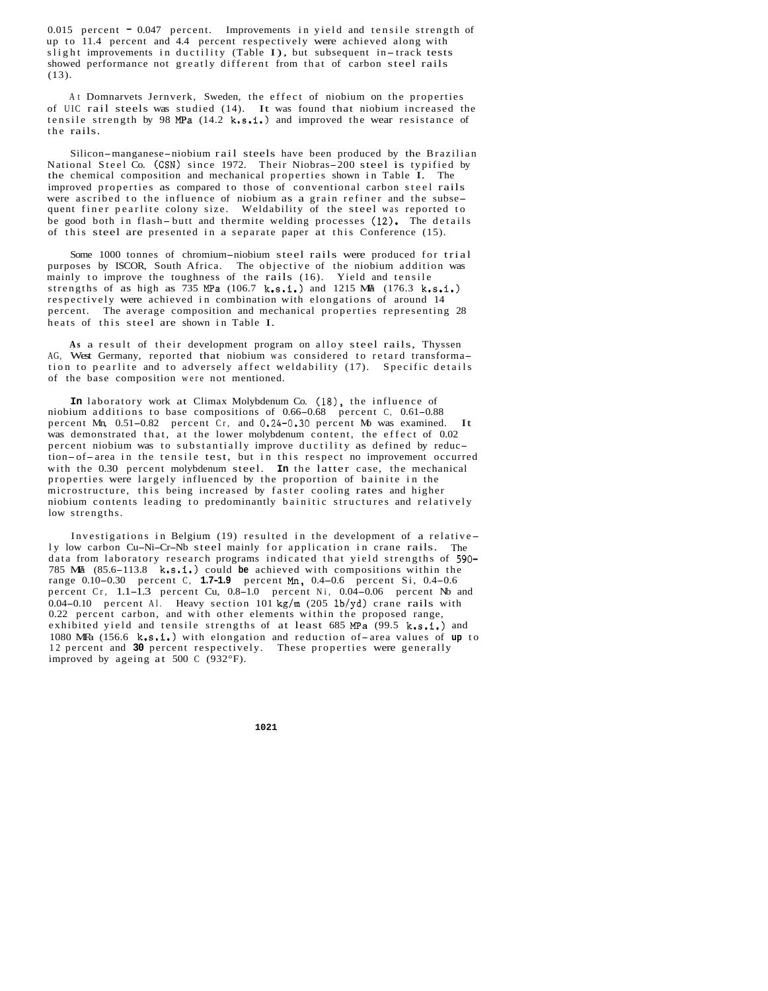0.015 percent - 0.047 percent. Improvements in yield and tensile strength of up to 11.4 percent and 4.4 percent respectively were achieved along with slight improvements in ductility (Table I), but subsequent in-track tests showed performance not greatly different from that of carbon steel rails (13).

At Domnarvets Jernverk, Sweden, the effect of niobium on the properties of UIC rail steels was studied (14). It was found that niobium increased the tensile strength by 98 MPa (14.2 k.s.i.) and improved the wear resistance of the rails.

Silicon-manganese-niobium rail steels have been produced by the Brazilian National Steel Co. (CSN) since 1972. Their Niobras-200 steel is typified by the chemical composition and mechanical properties shown in Table I. The improved properties as compared to those of conventional carbon steel rails were ascribed to the influence of niobium as a grain refiner and the subsequent finer pearlite colony size. Weldability of the steel was reported to be good both in flash- butt and thermite welding processes (12). The details of this steel are presented in a separate paper at this Conference (15).

Some 1000 tonnes of chromium-niobium steel rails were produced for trial purposes by ISCOR, South Africa. The objective of the niobium addition was mainly to improve the toughness of the rails (16). Yield and tensile strengths of as high as  $735 \text{ MPa}$  (106.7 k.s.i.) and 1215 Ma (176.3 k.s.i.) respectively were achieved in combination with elongations of around 14 percent. The average composition and mechanical properties representing 28 heats of this steel are shown in Table I.

**As** a result of their development program on alloy steel rails, Thyssen AG, West Germany, reported that niobium was considered to retard transformation to pearlite and to adversely affect weldability (17). Specific details of the base composition were not mentioned.

**In** laboratory work at Climax Molybdenum Co. (18), the influence of niobium additions to base compositions of 0.66-0.68 percent C, 0.61-0.88 percent Mn, 0.51-0.82 percent Cr, and 0.24-0.30 percent Mo was examined. It was demonstrated that, at the lower molybdenum content, the effect of 0.02 percent niobium was to substantially improve ductility as defined by reduction-of-area in the tensile test, but in this respect no improvement occurred with the 0.30 percent molybdenum steel. **In** the latter case, the mechanical properties were largely influenced by the proportion of bainite in the microstructure, this being increased by faster cooling rates and higher niobium contents leading to predominantly bainitic structures and relatively low strengths.

Investigations in Belgium (19) resulted in the development of a relative - Investigations in Belgium (19) resulted in the development of a relative<br>ly low carbon Cu-Ni-Cr-Nb steel mainly for application in crane rails. The data from laboratory research programs indicated that yield strengths of 590- 785 MF'a (85.6-113.8 k.s.i.) could **be** achieved with compositions within the range 0.10-0.30 percent C, **1.7-1.9** percent Mn, 0.4-0.6 percent Si, 0.4-0.6 percent Cr, 1.1-1.3 percent Cu, 0.8-1.0 percent Ni, 0.04-0.06 percent Nb and 0.04-0.10 percent Al. Heavy section 101 kg/m  $(205 \text{ lb/yd})$  crane rails with 0.22 percent carbon, and with other elements within the proposed range, exhibited yield and tensile strengths of at least  $685 MPa (99.5 k.s.1.)$  and 1080 MFa (156.6 k.s.i.) with elongation and reduction of-area values of up to 12 percent and **30** percent respectively. These properties were generally improved by ageing at 500 C (932°F).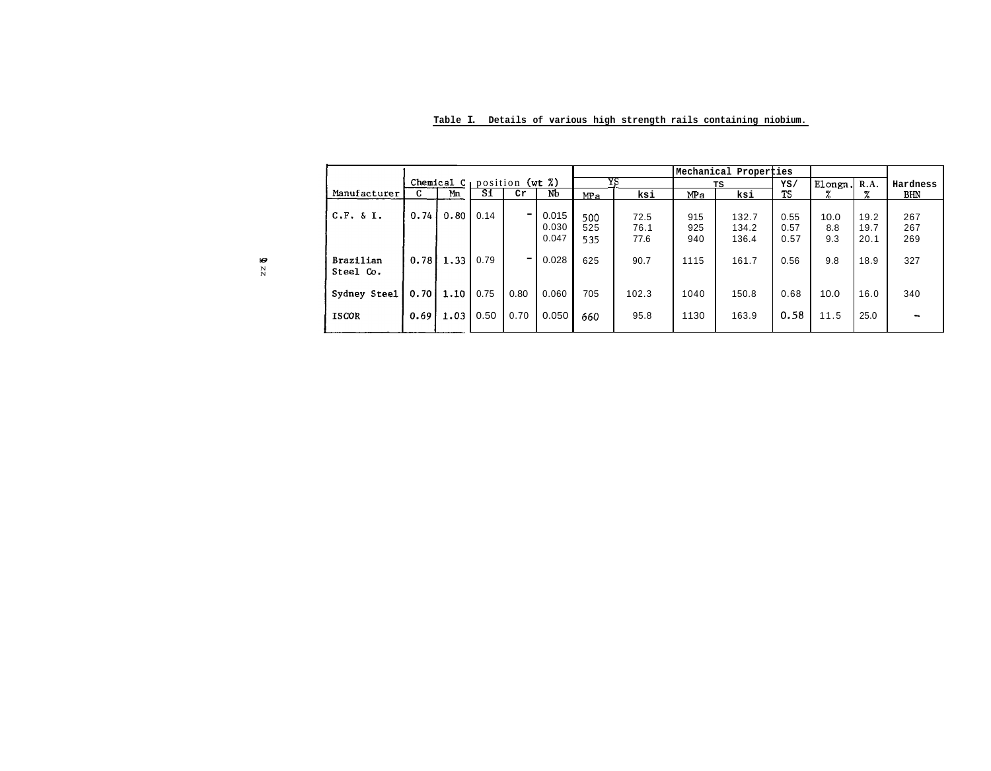|                        |        |                                      |      |      |                         |                   |                      | Mechanical Properties |                         |                      |                    |                      |                          |
|------------------------|--------|--------------------------------------|------|------|-------------------------|-------------------|----------------------|-----------------------|-------------------------|----------------------|--------------------|----------------------|--------------------------|
|                        |        | Chemical $C_1$ position (wt $\chi$ ) |      |      |                         | YS                |                      | TS                    |                         | YS/                  | Elongn.            | R.A.                 | Hardness                 |
| Manufacturer           | C.     | Mn                                   | Si   | Cr   | NЪ                      | MP <sub>a</sub>   | ksi                  | MPa                   | ksi                     | <b>TS</b>            | z                  | z                    | <b>BHN</b>               |
| C.F. 6 I.              | 0.74   | 0.80                                 | 0.14 | ۰    | 0.015<br>0.030<br>0.047 | 500<br>525<br>535 | 72.5<br>76.1<br>77.6 | 915<br>925<br>940     | 132.7<br>134.2<br>136.4 | 0.55<br>0.57<br>0.57 | 10.0<br>8.8<br>9.3 | 19.2<br>19.7<br>20.1 | 267<br>267<br>269        |
| Brazilian<br>Steel Co. | 0.78 l | 1.33                                 | 0.79 |      | 0.028                   | 625               | 90.7                 | 1115                  | 161.7                   | 0.56                 | 9.8                | 18.9                 | 327                      |
| Sydney Steel           | 0.701  | 1.10                                 | 0.75 | 0.80 | 0.060                   | 705               | 102.3                | 1040                  | 150.8                   | 0.68                 | 10.0               | 16.0                 | 340                      |
| <b>ISCOR</b>           | 0.691  | 1.03                                 | 0.50 | 0.70 | 0.050                   | 660               | 95.8                 | 1130                  | 163.9                   | 0.58                 | 11.5               | 25.0                 | $\overline{\phantom{a}}$ |

**Table I. Details of various high strength rails containing niobium.**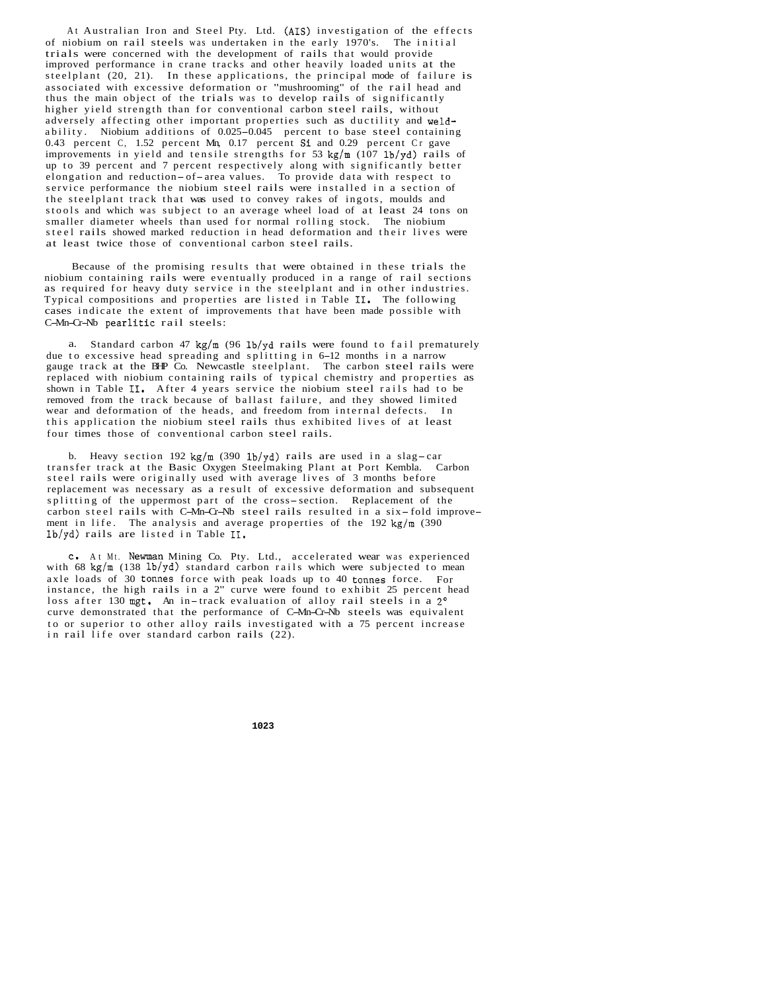At Australian Iron and Steel Pty. Ltd. (AIS) investigation of the effects of niobium on rail steels was undertaken in the early 1970's. The initial trials were concerned with the development of rails that would provide improved performance in crane tracks and other heavily loaded units at the steelplant (20, 21). In these applications, the principal mode of failure is associated with excessive deformation or "mushrooming" of the rail head and thus the main object of the trials was to develop rails of significantly higher yield strength than for conventional carbon steel rails, without adversely affecting other important properties such as ductility and weldability. Niobium additions of 0.025-0.045 percent to base steel containing 0.43 percent C, 1.52 percent Mn, 0.17 percent Si and 0.29 percent Cr gave improvements in yield and tensile strengths for 53 kg/m  $(107 \text{ lb/yd})$  rails of up to 39 percent and 7 percent respectively along with significantly better elongation and reduction-of- area values. To provide data with respect to service performance the niobium steel rails were installed in a section of the steelplant track that was used to convey rakes of ingots, moulds and stools and which was subject to an average wheel load of at least 24 tons on smaller diameter wheels than used for normal rolling stock. The niobium steel rails showed marked reduction in head deformation and their lives were at least twice those of conventional carbon steel rails.

Because of the promising results that were obtained in these trials the niobium containing rails were eventually produced in a range of rail sections as required for heavy duty service in the steelplant and in other industries. Typical compositions and properties are listed in Table **11.** The following cases indicate the extent of improvements that have been made possible with C-Mn-Cr-Nb pearlitic rail steels:

a. Standard carbon 47  $\text{kg/m}$  (96 lb/yd rails were found to fail prematurely due to excessive head spreading and splitting in 6-12 months in a narrow gauge track at the BHP Co. Newcastle steelplant. The carbon steel rails were replaced with niobium containing rails of typical chemistry and properties as shown in Table **11.** After 4 years service the niobium steel rails had to be removed from the track because of ballast failure, and they showed limited wear and deformation of the heads, and freedom from internal defects. In this application the niobium steel rails thus exhibited lives of at least four times those of conventional carbon steel rails.

b. Heavy section 192 kg/m (390 lb/yd) rails are used in a slag-car transfer track at the Basic Oxygen Steelmaking Plant at Port Kembla. Carbon steel rails were originally used with average lives of 3 months before replacement was necessary as a result of excessive deformation and subsequent splitting of the uppermost part of the cross-section. Replacement of the carbon steel rails with C-Mn-Cr-Nb steel rails resulted in a six-fold improvement in life. The analysis and average properties of the  $192 \text{ kg/m}$  (390) lb/yd) rails are listed in Table **11.** 

C. At Mt. Newman Mining Co. Pty. Ltd., accelerated wear was experienced with 68 kg/m  $(138 \text{ lb/yd})$  standard carbon rails which were subjected to mean axle loads of 30 tonnes force with peak loads up to 40 tonnes force. For instance, the high rails in a 2" curve were found to exhibit 25 percent head loss after 130 mgt. An in-track evaluation of alloy rail steels in a 2° curve demonstrated that the performance of C-Mn-Cr-Nb steels was equivalent to or superior to other alloy rails investigated with a 75 percent increase in rail life over standard carbon rails (22).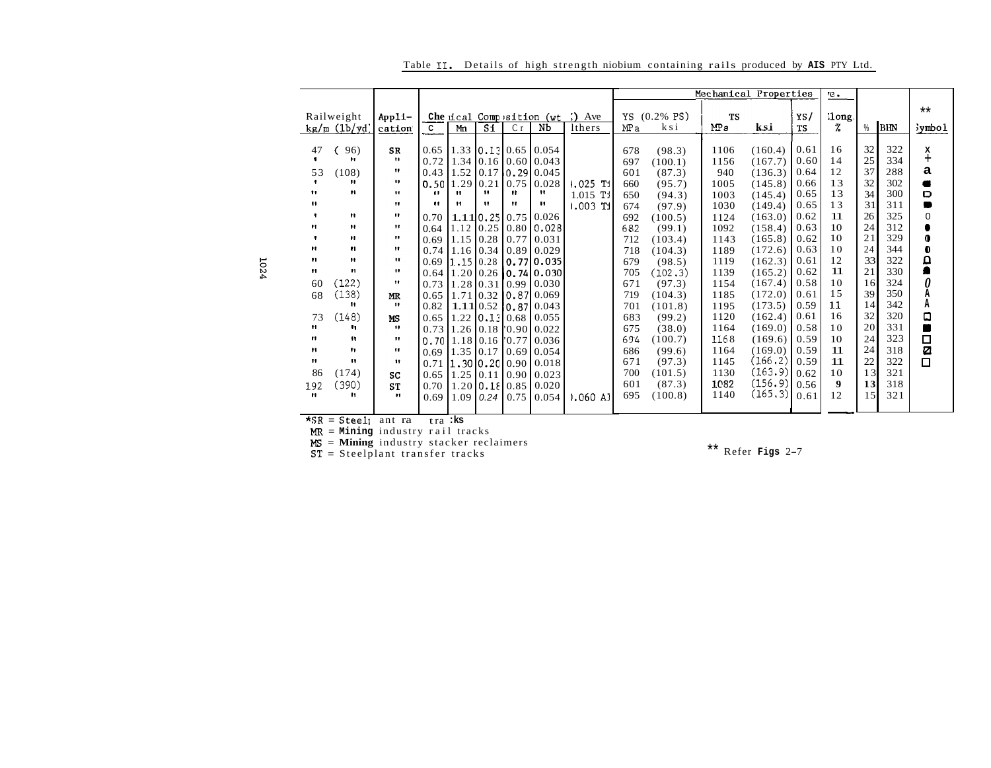|                                                                                                                                                               |                                                                                                                                                                                                  |                                                                    |                                   |                    |                                                                              |                      |                                                                                                                                                                                                                                                                                                                                                                                                                                                                                   |                                                                                                                            |                                                                                                                                                                                          |                                                                                                                                             | Mechanical Properties                                                                                                                                                                              |                                                                                                                                              | re.                                                                                                      |                                                                                                          |                                                                                                                            |                                                                                                                            |
|---------------------------------------------------------------------------------------------------------------------------------------------------------------|--------------------------------------------------------------------------------------------------------------------------------------------------------------------------------------------------|--------------------------------------------------------------------|-----------------------------------|--------------------|------------------------------------------------------------------------------|----------------------|-----------------------------------------------------------------------------------------------------------------------------------------------------------------------------------------------------------------------------------------------------------------------------------------------------------------------------------------------------------------------------------------------------------------------------------------------------------------------------------|----------------------------------------------------------------------------------------------------------------------------|------------------------------------------------------------------------------------------------------------------------------------------------------------------------------------------|---------------------------------------------------------------------------------------------------------------------------------------------|----------------------------------------------------------------------------------------------------------------------------------------------------------------------------------------------------|----------------------------------------------------------------------------------------------------------------------------------------------|----------------------------------------------------------------------------------------------------------|----------------------------------------------------------------------------------------------------------|----------------------------------------------------------------------------------------------------------------------------|----------------------------------------------------------------------------------------------------------------------------|
| Railweight<br>kg/m (1b/yd)                                                                                                                                    | Appli-<br>cation                                                                                                                                                                                 | $\mathbf{c}$                                                       | Mn                                | $S_1$              | C <sub>r</sub>                                                               | Nb                   | lthers                                                                                                                                                                                                                                                                                                                                                                                                                                                                            | YS<br>MP a                                                                                                                 | ksi                                                                                                                                                                                      | <b>TS</b><br>MPa                                                                                                                            | ksi                                                                                                                                                                                                | YS/<br><b>TS</b>                                                                                                                             | %                                                                                                        | %                                                                                                        |                                                                                                                            | $***$<br>symbol                                                                                                            |
| 96)<br>$^{\bullet}$<br>(108)<br>"<br>11<br>Ħ<br>$\mathbf{H}$<br>$\bullet$<br>11<br>$\mathbf{H}$<br>$\mathbf{r}$<br>(122)<br>(138)<br>11<br>(148)<br>11.<br>11 | <b>SR</b><br>n.<br>11<br>11<br>11<br>11.<br>$\mathbf{H}$<br>$^{\bullet}$<br>$\mathbf{H}$<br>$^{\bullet}$<br>$\mathbf{H}$<br>$^{\bullet}$<br>11.<br><b>MR</b><br>$\bullet$<br><b>MS</b><br><br>11 | 0.65<br>0.72<br>0.43<br>11<br>0.70<br>0.64<br>0.65<br>0.82<br>0.65 | 1.52<br>m<br>$^{\bullet}$<br>1.12 | 11<br>$\mathbf{H}$ | <br>                                                                         | Ħ<br>19.             | $1.025$ Ti<br>$1.015$ Tj<br>$0.003$ Ti                                                                                                                                                                                                                                                                                                                                                                                                                                            | 678<br>697<br>601<br>660<br>650<br>674<br>692<br>682<br>712<br>718<br>679<br>705<br>671<br>719<br>701<br>683<br>675<br>694 | (98.3)<br>(100.1)<br>(87.3)<br>(95.7)<br>(94.3)<br>(97.9)<br>(100.5)<br>(99.1)<br>(103.4)<br>(104.3)<br>(98.5)<br>(102.3)<br>(97.3)<br>(104.3)<br>(101.8)<br>(99.2)<br>(38.0)<br>(100.7) | 1106<br>1156<br>940<br>1005<br>1003<br>1030<br>1124<br>1092<br>1143<br>1189<br>1119<br>1139<br>1154<br>1185<br>1195<br>1120<br>1164<br>1168 | (160.4)<br>(167.7)<br>(136.3)<br>(145.8)<br>(145.4)<br>(149.4)<br>(163.0)<br>(158.4)<br>(165.8)<br>(172.6)<br>(162.3)<br>(165.2)<br>(167.4)<br>(172.0)<br>(173.5)<br>(162.4)<br>(169.0)<br>(169.6) | 0.61<br>0.60<br>0.64<br>0.66<br>0.65<br>0.65<br>0.62<br>0.63<br>0.62<br>0.63<br>0.61<br>0.62<br>0.58<br>0.61<br>0.59<br>0.61<br>0.58<br>0.59 | 16<br>14<br>12<br>13<br>13<br>13<br>11<br>10<br>10<br>10<br>12<br>11<br>10<br>15<br>11<br>16<br>10<br>10 | 32<br>25<br>37<br>32<br>34<br>31<br>26<br>24<br>21<br>24<br>33<br>21<br>16<br>39<br>14<br>32<br>20<br>24 | 322<br>334<br>288<br>302<br>300<br>311<br>325<br>312<br>329<br>344<br>322<br>330<br>324<br>350<br>342<br>320<br>331<br>323 | χ<br>$\ddot{}$<br>a<br>٠<br>D<br>▬<br>0<br>0<br>Đ<br>$\frac{\Omega}{\blacksquare}$<br>0<br>A<br>Α<br>$\Box$<br>П<br>$\Box$ |
| $^{\bullet}$                                                                                                                                                  | $\mathbf{H}$                                                                                                                                                                                     |                                                                    |                                   |                    |                                                                              |                      |                                                                                                                                                                                                                                                                                                                                                                                                                                                                                   | 686                                                                                                                        | (99.6)                                                                                                                                                                                   | 1164                                                                                                                                        | (169.0)                                                                                                                                                                                            | 0.59                                                                                                                                         | 11                                                                                                       | 24                                                                                                       | 318                                                                                                                        | Ø                                                                                                                          |
| (174)<br>(390)<br>m                                                                                                                                           | SC<br><b>ST</b><br>$\mathbf{H}$                                                                                                                                                                  | 0.65<br>0.70<br>0.69                                               |                                   |                    |                                                                              | 0.020<br>0.054       | 0.060A1                                                                                                                                                                                                                                                                                                                                                                                                                                                                           | 700<br>601<br>695                                                                                                          | (101.5)<br>(87.3)<br>(100.8)                                                                                                                                                             | 1130<br>1082<br>1140                                                                                                                        | (163.9)<br>(156.9)<br>(165.3)                                                                                                                                                                      | 0.62<br>0.56<br>0.61                                                                                                                         | 10<br>$\boldsymbol{9}$<br>12                                                                             | 13<br>13<br>15                                                                                           | 321<br>318<br>321                                                                                                          | $\Box$                                                                                                                     |
|                                                                                                                                                               | Ħ                                                                                                                                                                                                | 11                                                                 |                                   | 0.50<br>0.73       | $1.29$ 0.21<br>$0.69$ 1.15 $0.28$<br>$0.69$ 1.15 0.28<br>$0.69$ 1.35 $10.17$ | $1.09$   0.24   0.75 | 1.33 0.13 0.65 0.054<br>$1.34$   0.16   0.60   0.043<br>$[0.17 \, 0.29] \, 0.045$<br>$0.75 \mid 0.028$<br>1.110.2510.7510.026<br>$0.77$ 0.031<br>$0.74$ 1.16 0.34 0.89 0.029<br>$1.28$   0.31   0.99   0.030<br>1.71 0.32 0.87 0.069<br>1.11 0.52 0.87 0.043<br>$1.22$ $\vert 0.13 \vert 0.68 \vert 0.055$<br>$0.73$ 1.26 0.18 0.90 0.022<br>0.7011.1810.1610.7710.036<br>$0.69$ 0.054<br>$0.71$   1.30   0.20   0.90   0.018<br>$1.25$   0.11   0.90   0.023<br>$1.20$ 0.18 0.85 | Che ical Composition ( $wt$ ) Ave<br>$[0.25 \, 0.80 \, 0.028]$<br>[0.77]0.035<br>$0.64$   1.20   0.26   0.74   0.030       | 671                                                                                                                                                                                      | $(0.2\% \text{ PS})$<br>(97.3)                                                                                                              | 1145                                                                                                                                                                                               | (166.2)                                                                                                                                      | 0.59                                                                                                     | 11                                                                                                       | $ 1$ ong.<br>22                                                                                                            | BIN<br>322                                                                                                                 |

Table II. Details of high strength niobium containing rails produced by AIS PTY Ltd.

 $\star$ SR = Steel<sub>l</sub> ant ra tra :ks

 $MR = Mining$  industry rail tracks

 $MS =$  Mining industry stacker reclaimers

 $ST = Steelplant transfer tracks$ 

\*\* Refer Figs  $2-7$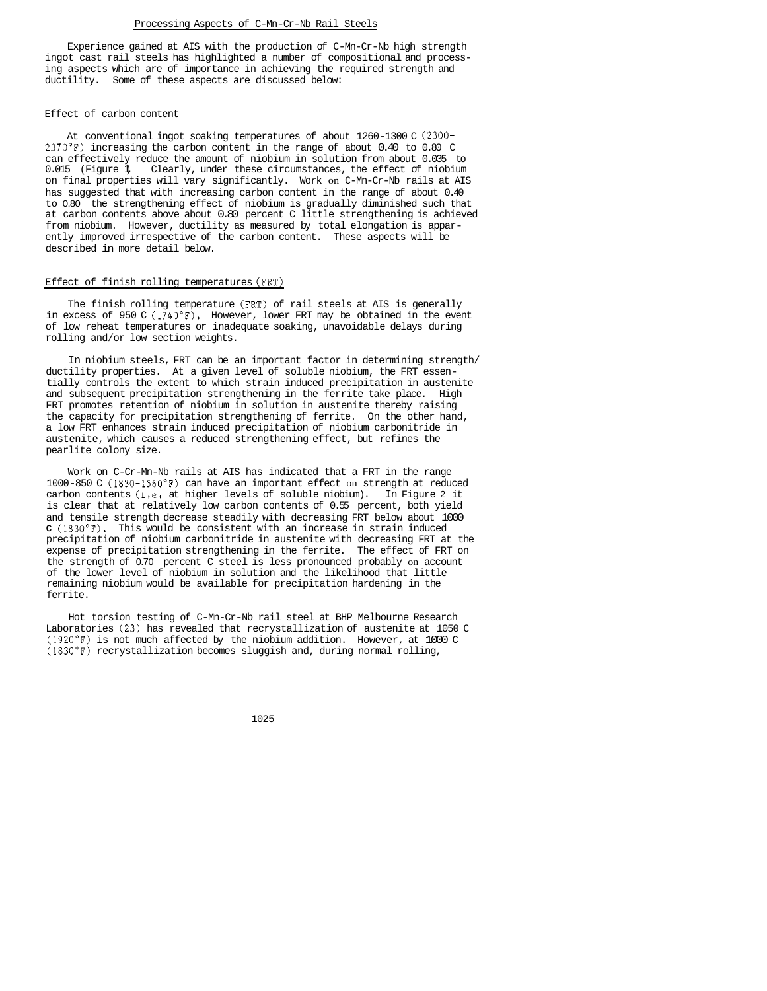#### Processing Aspects of C-Mn-Cr-Nb Rail Steels

Experience gained at AIS with the production of C-Mn-Cr-Nb high strength ingot cast rail steels has highlighted a number of compositional and processing aspects which are of importance in achieving the required strength and ductility. Some of these aspects are discussed below:

### Effect of carbon content

At conventional ingot soaking temperatures of about 1260-1300 C (2300- 2370'F) increasing the carbon content in the range of about 0.40 to 0.80 C can effectively reduce the amount of niobium in solution from about 0.035 to 0.015 (Figure 1). Clearly, under these circumstances, the effect of niobium on final properties will vary significantly. Work on C-Mn-Cr-Nb rails at AIS has suggested that with increasing carbon content in the range of about 0.40 to 0.80 the strengthening effect of niobium is gradually diminished such that at carbon contents above about 0.80 percent C little strengthening is achieved from niobium. However, ductility as measured by total elongation is apparently improved irrespective of the carbon content. These aspects will be described in more detail below.

## Effect of finish rolling temperatures (FRT)

The finish rolling temperature (FRT) of rail steels at AIS is generally in excess of 950 C  $(1740°F)$ . However, lower FRT may be obtained in the event of low reheat temperatures or inadequate soaking, unavoidable delays during rolling and/or low section weights.

In niobium steels, FRT can be an important factor in determining strength/ ductility properties. At a given level of soluble niobium, the FRT essentially controls the extent to which strain induced precipitation in austenite and subsequent precipitation strengthening in the ferrite take place. High FRT promotes retention of niobium in solution in austenite thereby raising the capacity for precipitation strengthening of ferrite. On the other hand, a low FRT enhances strain induced precipitation of niobium carbonitride in austenite, which causes a reduced strengthening effect, but refines the pearlite colony size.

Work on C-Cr-Mn-Nb rails at AIS has indicated that a FRT in the range  $1000-850$  C ( $1830-1560$ <sup>o</sup>F) can have an important effect on strength at reduced carbon contents (i.e. at higher levels of soluble niobium). In Figure 2 it is clear that at relatively low carbon contents of 0.55 percent, both yield and tensile strength decrease steadily with decreasing FRT below about 1000 **C** (1830'F). This would be consistent with an increase in strain induced precipitation of niobium carbonitride in austenite with decreasing FRT at the expense of precipitation strengthening in the ferrite. The effect of FRT on the strength of 0.70 percent C steel is less pronounced probably on account of the lower level of niobium in solution and the likelihood that little remaining niobium would be available for precipitation hardening in the ferrite.

Hot torsion testing of C-Mn-Cr-Nb rail steel at BHP Melbourne Research Laboratories (23) has revealed that recrystallization of austenite at 1050 C (1920'F) is not much affected by the niobium addition. However, at 1000 C (1830'F) recrystallization becomes sluggish and, during normal rolling,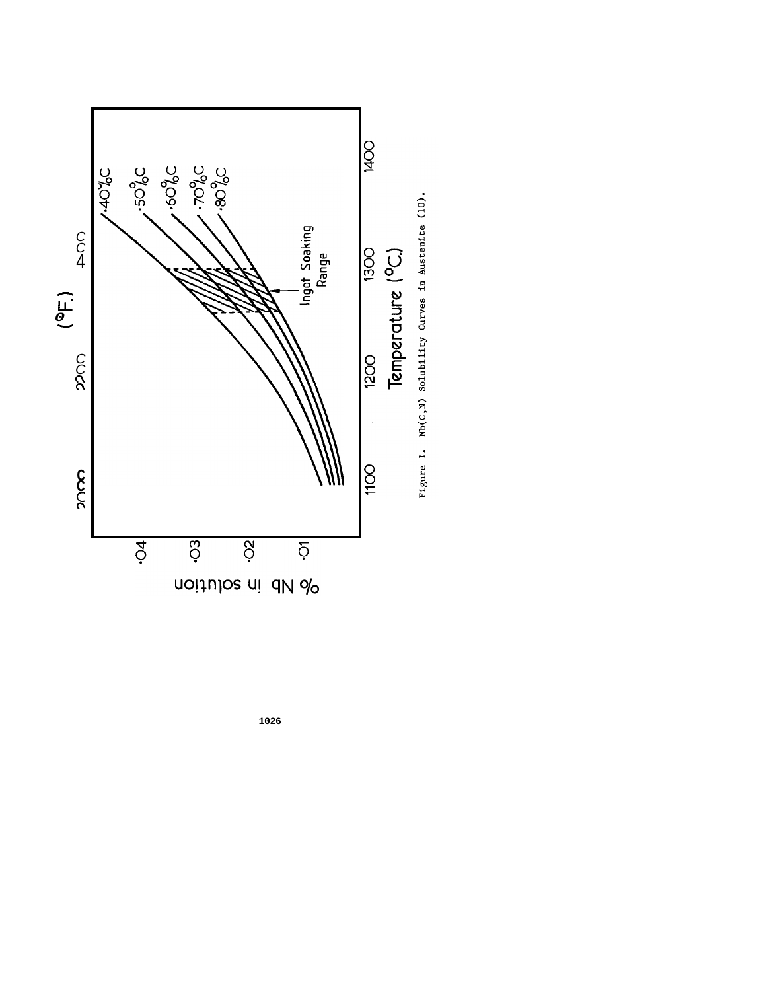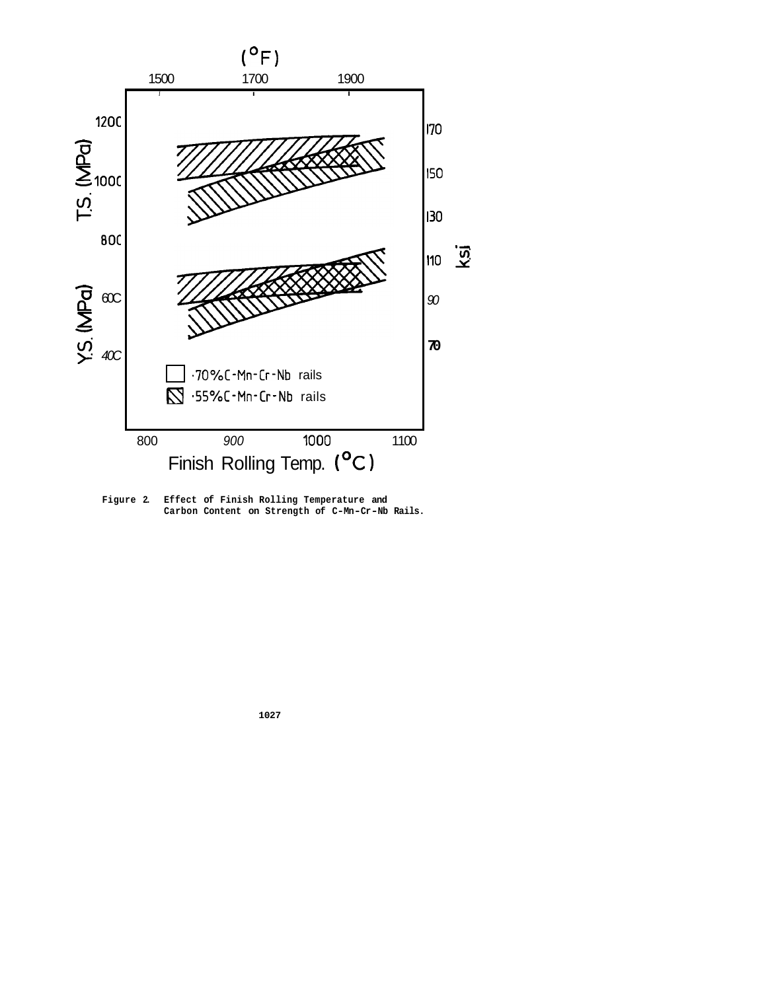

Figure 2. Effect of Finish Rolling Temperature and Carbon Content on Strength of C-Mn-Cr-Nb Rails.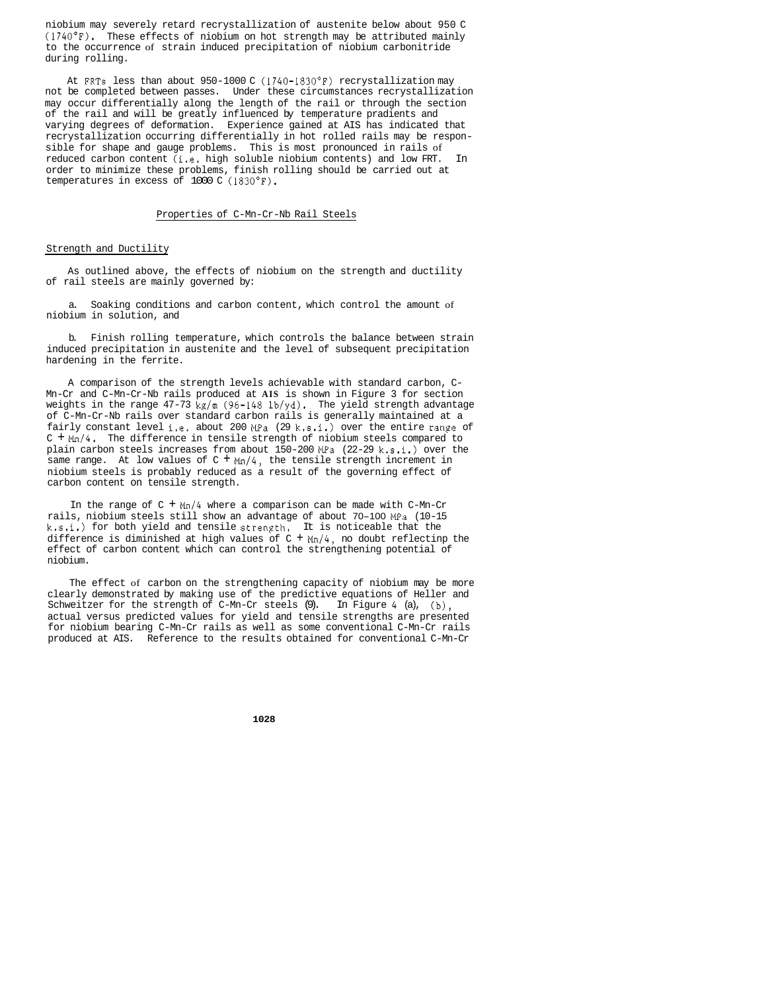niobium may severely retard recrystallization of austenite below about 950 C  $(1740°F)$ . These effects of niobium on hot strength may be attributed mainly to the occurrence of strain induced precipitation of niobium carbonitride during rolling.

At FRTs less than about 950-1000 C (1740-1830°F) recrystallization may not be completed between passes. Under these circumstances recrystallization may occur differentially along the length of the rail or through the section of the rail and will be greatly influenced by temperature pradients and varying degrees of deformation. Experience gained at AIS has indicated that recrystallization occurring differentially in hot rolled rails may be responsible for shape and gauge problems. This is most pronounced in rails of reduced carbon content (i.e. high soluble niobium contents) and low FRT. In order to minimize these problems, finish rolling should be carried out at temperatures in excess of 1000 C (1830'F).

## Properties of C-Mn-Cr-Nb Rail Steels

## Strength and Ductility

As outlined above, the effects of niobium on the strength and ductility of rail steels are mainly governed by:

a. Soaking conditions and carbon content, which control the amount of niobium in solution, and

b. Finish rolling temperature, which controls the balance between strain induced precipitation in austenite and the level of subsequent precipitation hardening in the ferrite.

A comparison of the strength levels achievable with standard carbon, C-Mn-Cr and C-Mn-Cr-Nb rails produced at **AIS** is shown in Figure 3 for section weights in the range 47-73 kg/m (96-148 lb/yd). The yield strength advantage of C-Mn-Cr-Nb rails over standard carbon rails is generally maintained at a fairly constant level i.e. about 200 MPa (29 k.s.i.) over the entire range of C + *Mn/4.* The difference in tensile strength of niobium steels compared to plain carbon steels increases from about  $150-200$  MPa  $(22-29 \text{ k.s.}i.)$  over the same range. At low values of  $C + Mn/4$ , the tensile strength increment in niobium steels is probably reduced as a result of the governing effect of carbon content on tensile strength.

In the range of  $C + Mn/4$  where a comparison can be made with  $C-Mn-Cr$ rails, niobium steels still show an advantage of about 70-100 MPa (10-15  $k. s. i.)$  for both yield and tensile strength. It is noticeable that the difference is diminished at high values of  $C + Mn/4$ , no doubt reflectinp the effect of carbon content which can control the strengthening potential of niobium.

The effect of carbon on the strengthening capacity of niobium may be more clearly demonstrated by making use of the predictive equations of Heller and Schweitzer for the strength of C-Mn-Cr steels (9). In Figure 4 (a), (b), actual versus predicted values for yield and tensile strengths are presented for niobium bearing C-Mn-Cr rails as well as some conventional C-Mn-Cr rails produced at AIS. Reference to the results obtained for conventional C-Mn-Cr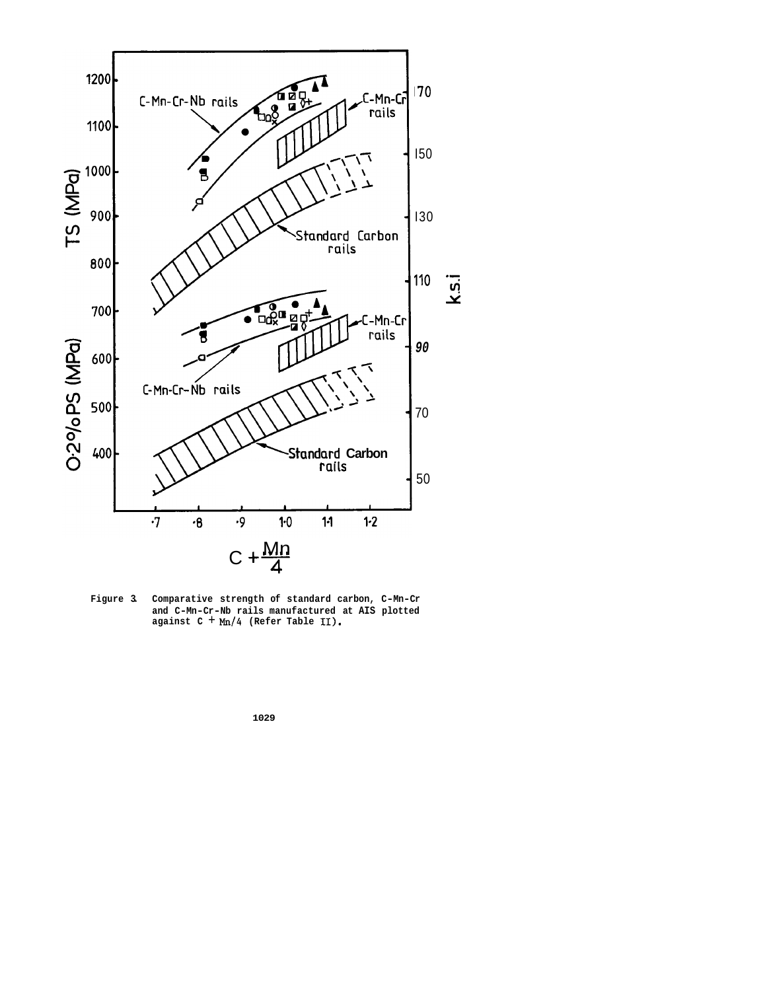

**Figure 3. Comparative strength of standard carbon, C-Mn-Cr and C-Mn-Cr-Nb rails manufactured at AIS plotted against C** + *Mn/4* **(Refer Table 11).**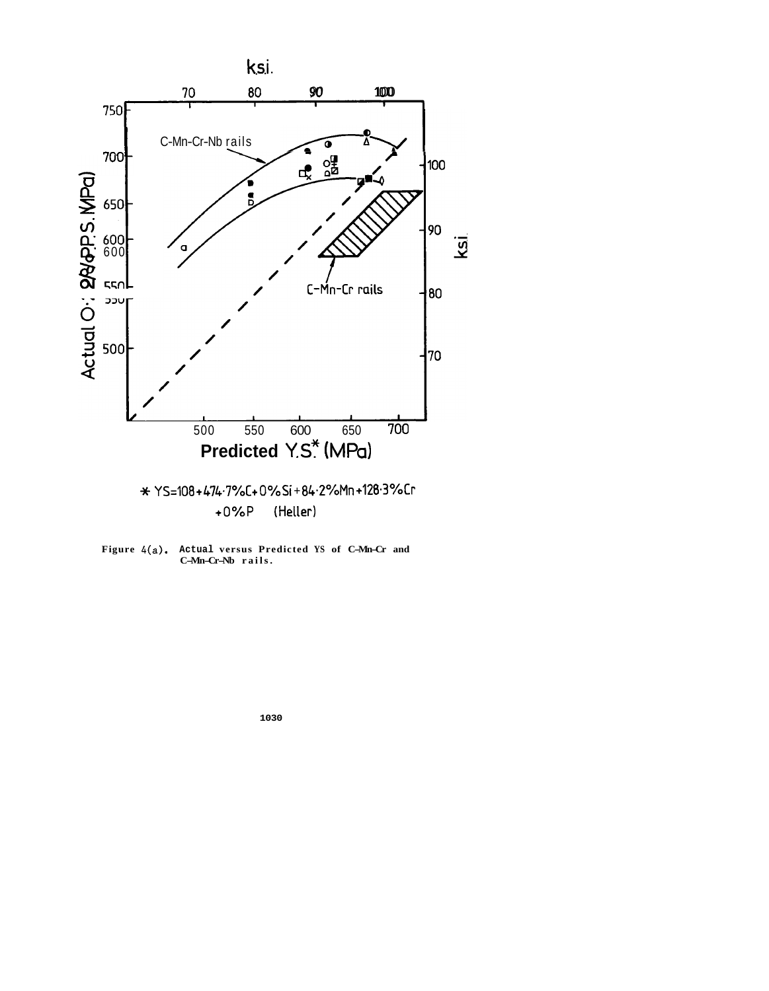

**Figure 4(a). Actual versus Predicted YS of C-Mn-Cr and C-Mn-Cr-Nb rails.**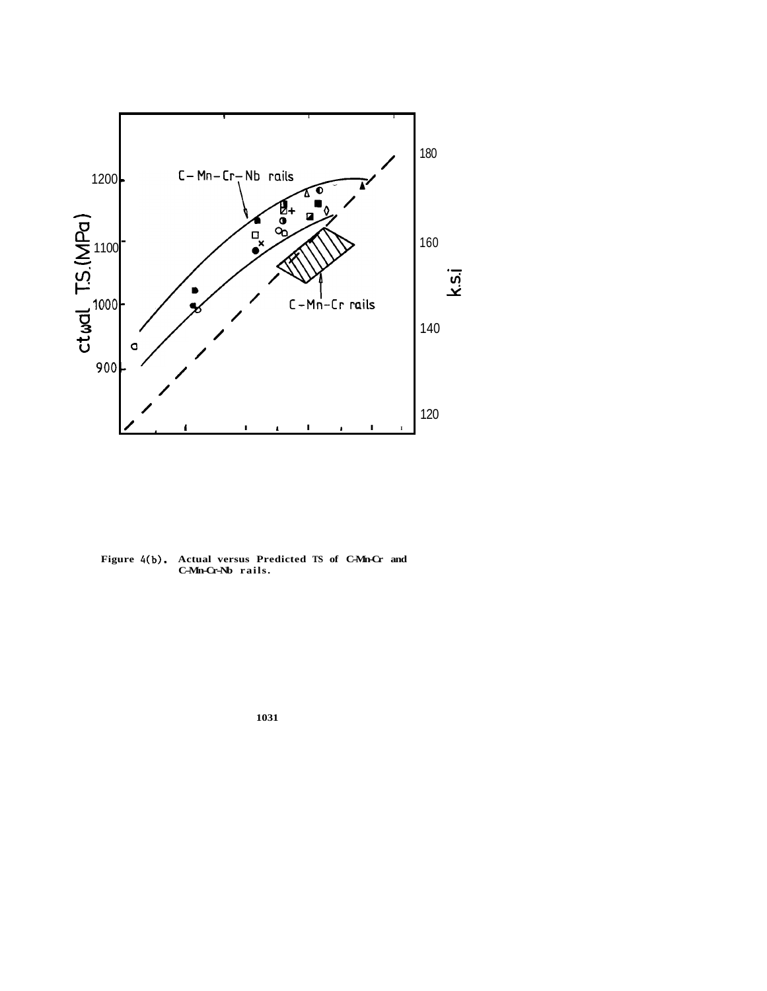

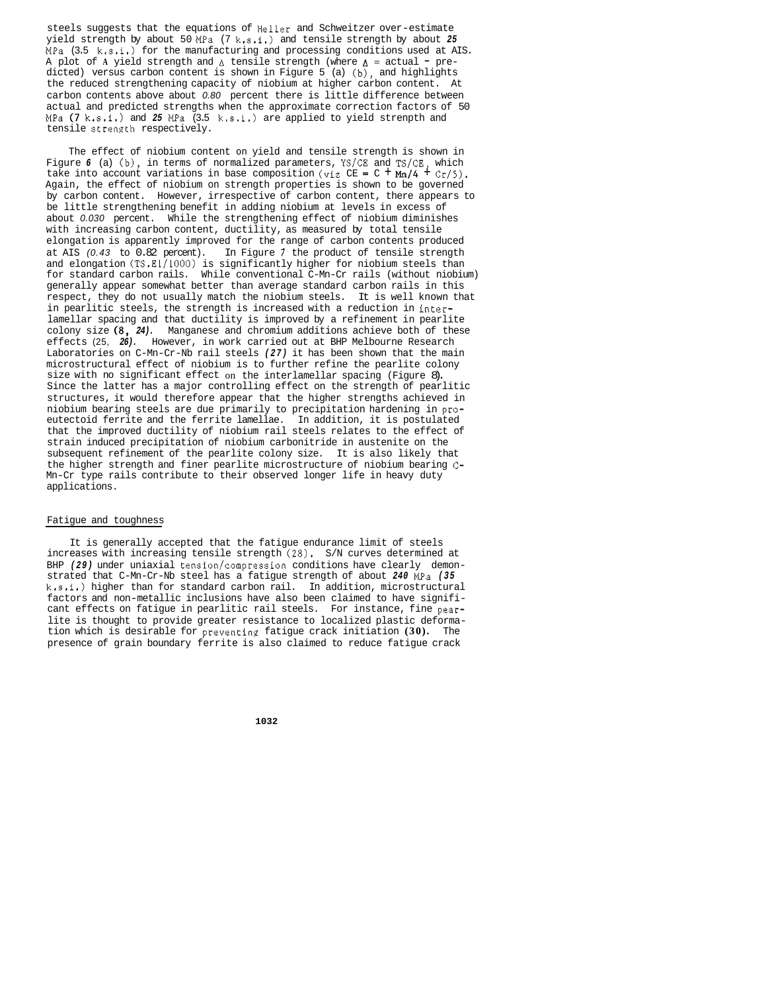steels suggests that the equations of Heller and Schweitzer over-estimate yield strength by about 50 MPa (7 k.s.i.) and tensile strength by about *25*   $MPa$  (3.5 k.s.i.) for the manufacturing and processing conditions used at AIS. A plot of A yield strength and  $\Delta$  tensile strength (where  $\Delta$  = actual - predicted) versus carbon content is shown in Figure 5 (a)  $(b)$ , and highlights the reduced strengthening capacity of niobium at higher carbon content. At carbon contents above about *0.80* percent there is little difference between actual and predicted strengths when the approximate correction factors of 50 MPa  $(7 \text{ k.s.1.})$  and 25 MPa  $(3.5 \text{ k.s.1.})$  are applied to yield strenpth and tensile strength respectively.

The effect of niobium content on yield and tensile strength is shown in Figure 6 (a) (b), in terms of normalized parameters, YS/CE and TS/CE, which take into account variations in base composition (viz  $CE = C + Mn/4 + Cr/5$ ). Again, the effect of niobium on strength properties is shown to be governed by carbon content. However, irrespective of carbon content, there appears to be little strengthening benefit in adding niobium at levels in excess of about *0.030* percent. While the strengthening effect of niobium diminishes with increasing carbon content, ductility, as measured by total tensile elongation is apparently improved for the range of carbon contents produced at AIS *(0.43* to 0.82 percent). In Figure 7 the product of tensile strength and elongation (TS.E1/1000) is significantly higher for niobium steels than for standard carbon rails. While conventional C-Mn-Cr rails (without niobium) generally appear somewhat better than average standard carbon rails in this respect, they do not usually match the niobium steels. It is well known that in pearlitic steels, the strength is increased with a reduction in interlamellar spacing and that ductility is improved by a refinement in pearlite colony size (8, *24).* Manganese and chromium additions achieve both of these effects (25, *26).* However, in work carried out at BHP Melbourne Research Laboratories on C-Mn-Cr-Nb rail steels *(27)* it has been shown that the main microstructural effect of niobium is to further refine the pearlite colony size with no significant effect on the interlamellar spacing (Figure 8). Since the latter has a major controlling effect on the strength of pearlitic structures, it would therefore appear that the higher strengths achieved in niobium bearing steels are due primarily to precipitation hardening in proeutectoid ferrite and the ferrite lamellae. In addition, it is postulated that the improved ductility of niobium rail steels relates to the effect of strain induced precipitation of niobium carbonitride in austenite on the subsequent refinement of the pearlite colony size. It is also likely that the higher strength and finer pearlite microstructure of niobium bearing C-Mn-Cr type rails contribute to their observed longer life in heavy duty applications.

# Fatigue and toughness

It is generally accepted that the fatigue endurance limit of steels increases with increasing tensile strength (28). S/N curves determined at BHP *(29)* under uniaxial tension/compression conditions have clearly demonstrated that C-Mn-Cr-Nb steel has a fatigue strength of about *240* MPa *(35*  k.s.i.) higher than for standard carbon rail. In addition, microstructural factors and non-metallic inclusions have also been claimed to have significant effects on fatigue in pearlitic rail steels. For instance, fine pearlite is thought to provide greater resistance to localized plastic deformation which is desirable for preventing fatigue crack initiation **(30).** The presence of grain boundary ferrite is also claimed to reduce fatigue crack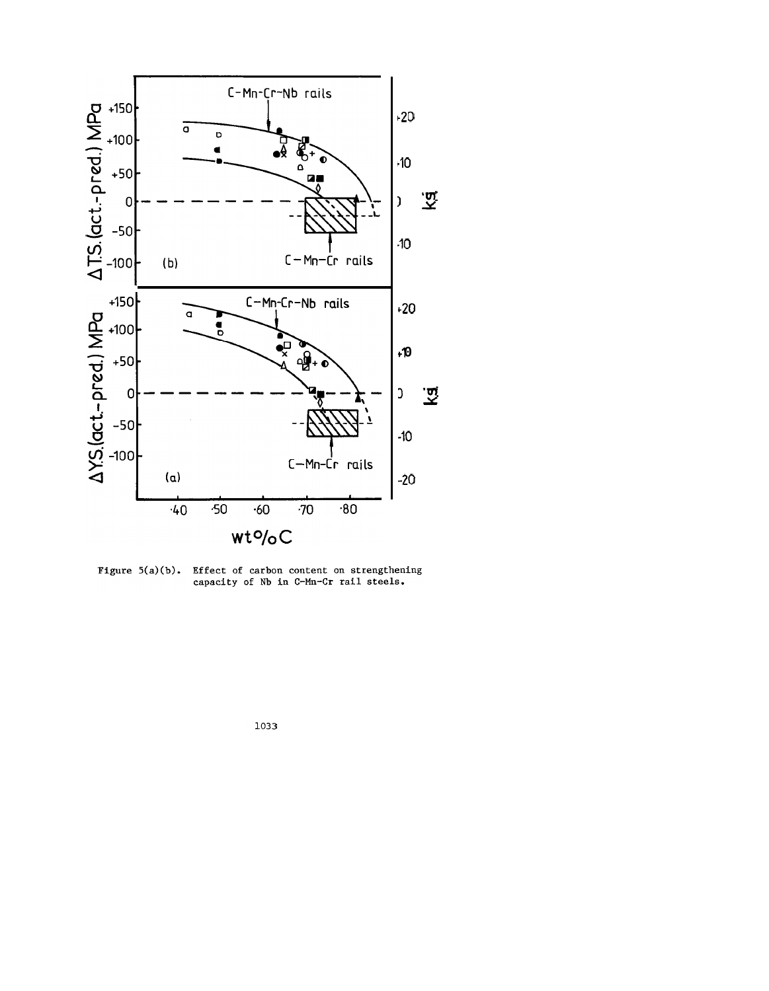

Figure  $5(a)(b)$ . Effect of carbon content on strengthening capacity of Nb in C-Mn-Cr rail steels.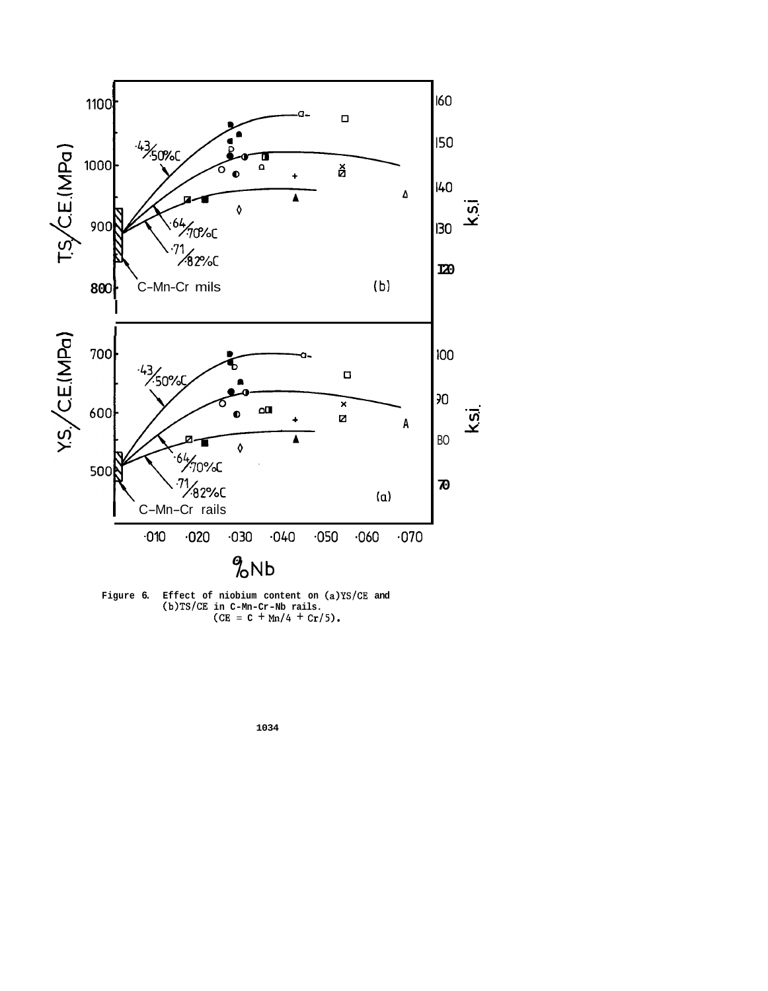

Figure 6. Effect of niobium content on (a)YS/CE and (b)TS/CE in C-Mn-Cr-Nb rails.<br>(CE = C + Mn/4 + Cr/5).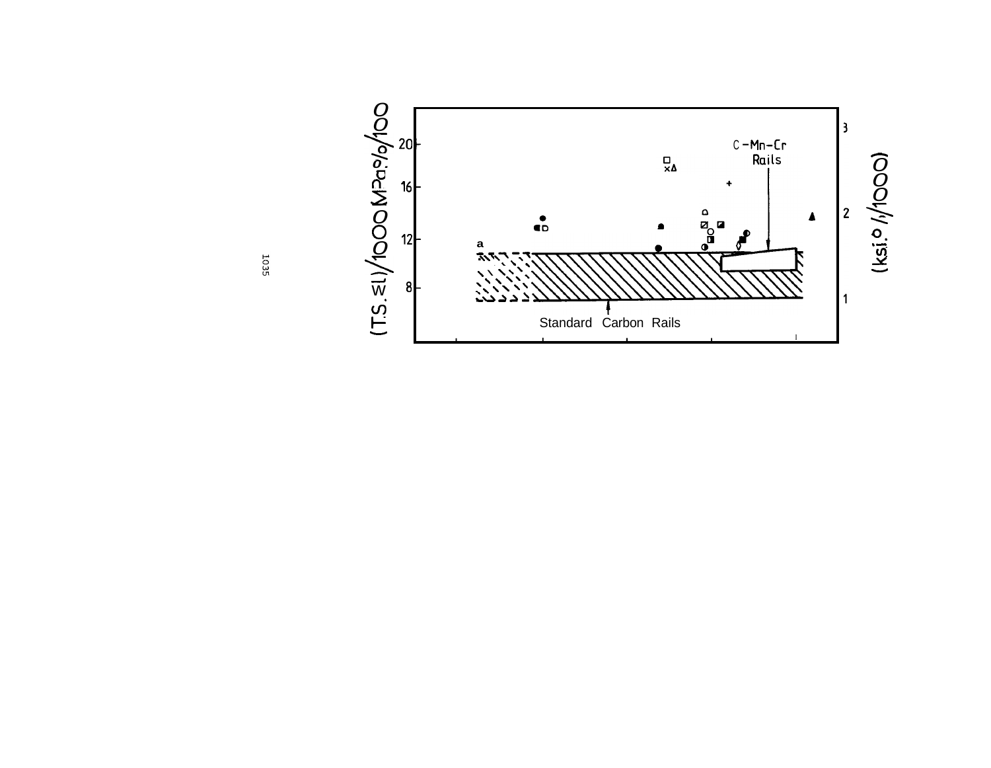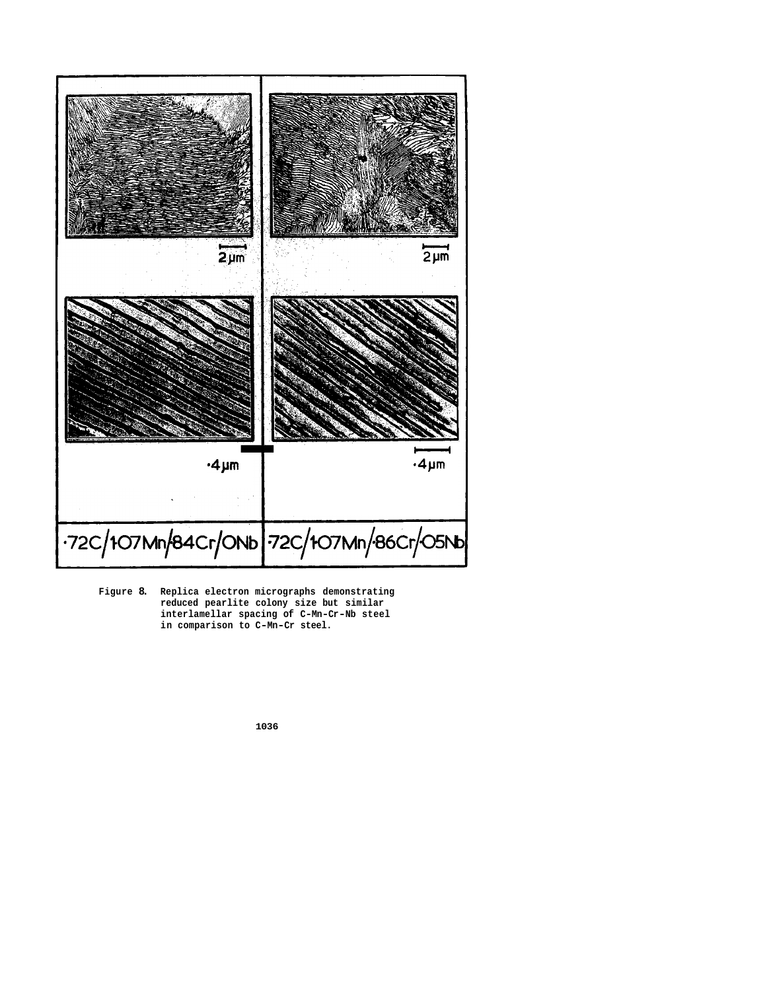

**Figure 8. Replica electron micrographs demonstrating reduced pearlite colony size but similar interlamellar spacing of C-Mn-Cr-Nb steel in comparison to C-Mn-Cr steel.**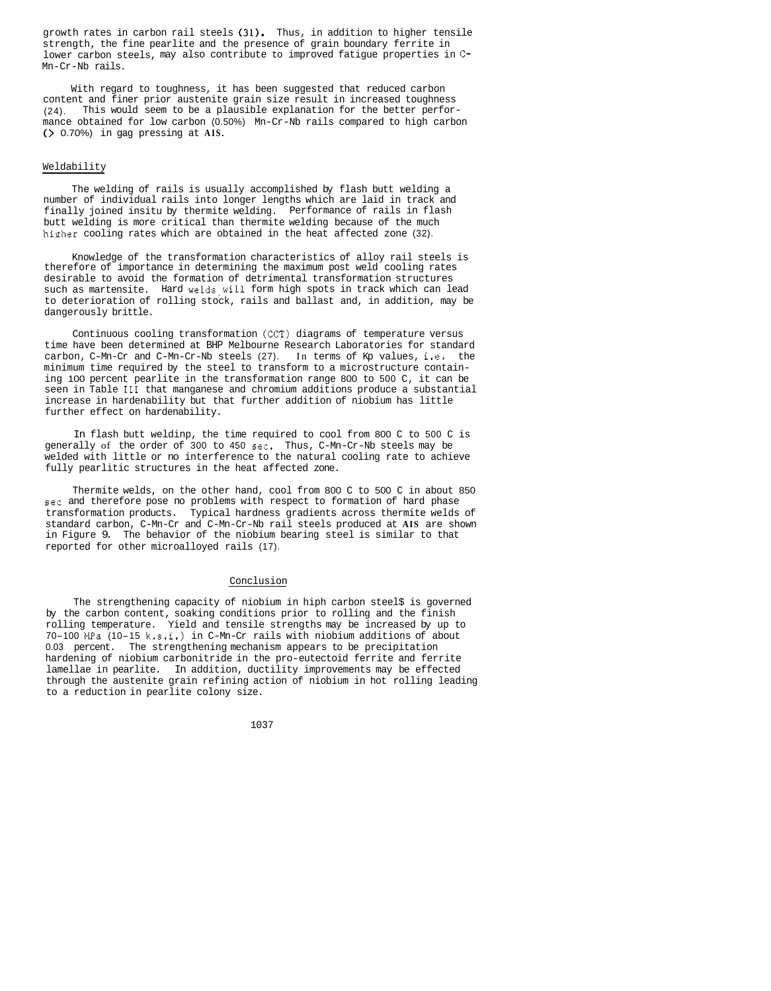growth rates in carbon rail steels  $(31)$ . Thus, in addition to higher tensile strength, the fine pearlite and the presence of grain boundary ferrite in lower carbon steels, may also contribute to improved fatigue properties in C-Mn-Cr-Nb rails.

With regard to toughness, it has been suggested that reduced carbon content and finer prior austenite grain size result in increased toughness (24). This would seem to be a plausible explanation for the better performance obtained for low carbon (0.50%) Mn-Cr-Nb rails compared to high carbon (> 0.70%) in gag pressing at **AIS.** 

#### Weldability

The welding of rails is usually accomplished by flash butt welding a finally joined insitu by thermite welding. Performance of rails in flash number of individual rails into longer lengths which are laid in track and butt welding is more critical than thermite welding because of the much higher cooling rates which are obtained in the heat affected zone (32).

Knowledge of the transformation characteristics of alloy rail steels is therefore of importance in determining the maximum post weld cooling rates desirable to avoid the formation of detrimental transformation structures such as martensite. Hard welds,will form high spots in track which can lead to deterioration of rolling stock, rails and ballast and, in addition, may be dangerously brittle.

Continuous cooling transformation (CCT) diagrams of temperature versus time have been determined at BHP Melbourne Research Laboratories for standard carbon, C-Mn-Cr and C-Mn-Cr-Nb steels (27). In terms of Kp values, i.e. the minimum time required by the steel to transform to a microstructure containing 100 percent pearlite in the transformation range 800 to 500 C, it can be seen in Table **111** that manganese and chromium additions produce a substantial increase in hardenability but that further addition of niobium has little further effect on hardenability.

In flash butt weldinp, the time required to cool from 800 C to 500 C is generally of the order of 300 to 450 sec. Thus, C-Mn-Cr-Nb steels may be welded with little or no interference to the natural cooling rate to achieve fully pearlitic structures in the heat affected zone.

Thermite welds, on the other hand, cool from 800 C to 500 C in about 850 sec and therefore pose no problems with respect to formation of hard phase transformation products. Typical hardness gradients across thermite welds of standard carbon, C-Mn-Cr and C-Mn-Cr-Nb rail steels produced at **AIS** are shown in Figure 9. The behavior of the niobium bearing steel is similar to that reported for other microalloyed rails (17).

## Conclusion

The strengthening capacity of niobium in hiph carbon steel\$ is governed by the carbon content, soaking conditions prior to rolling and the finish rolling temperature. Yield and tensile strengths may be increased by up to 70-100 MPa (10-15 k.s.i.) in C-Mn-Cr rails with niobium additions of about 0.03 percent. The strengthening mechanism appears to be precipitation hardening of niobium carbonitride in the pro-eutectoid ferrite and ferrite lamellae in pearlite. In addition, ductility improvements may be effected through the austenite grain refining action of niobium in hot rolling leading to a reduction in pearlite colony size.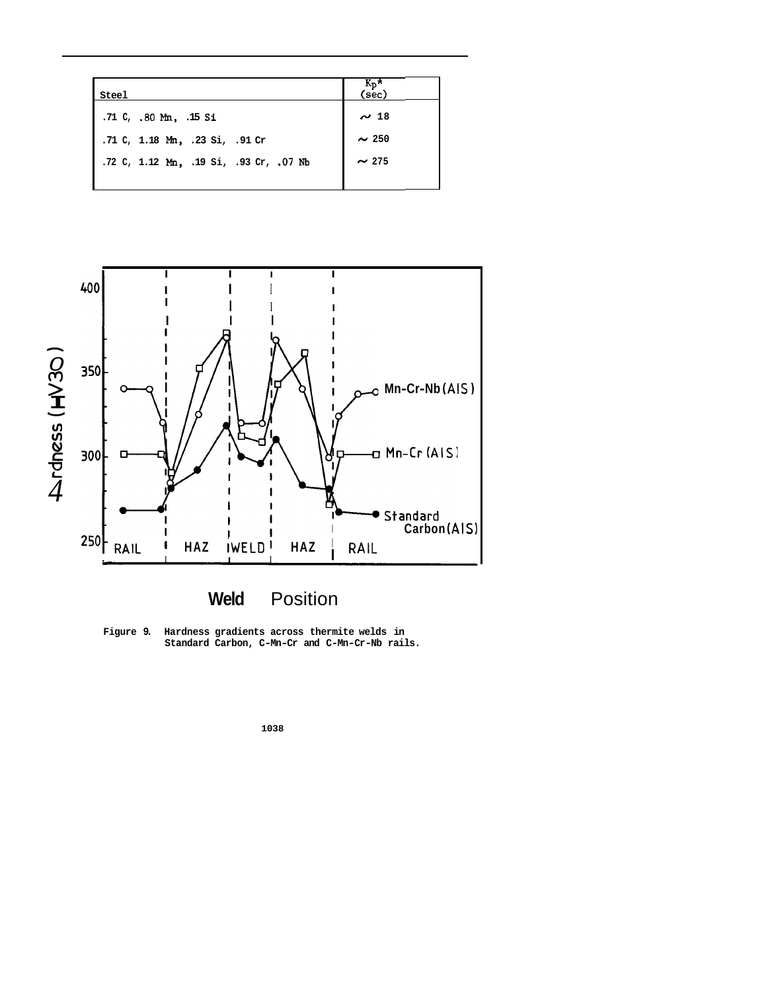| Steel                                  | $\frac{K_p \star}{(sec)}$ |
|----------------------------------------|---------------------------|
| .71 C, .80 Mm, .15 Si                  | $\sim$ 18                 |
| .71 C, 1.18 Mm, .23 Si, .91 Cr         | $\sim$ 250                |
| .72 C, 1.12 Mm, .19 Si, .93 Cr, .07 Nb | $\sim$ 275                |
|                                        |                           |





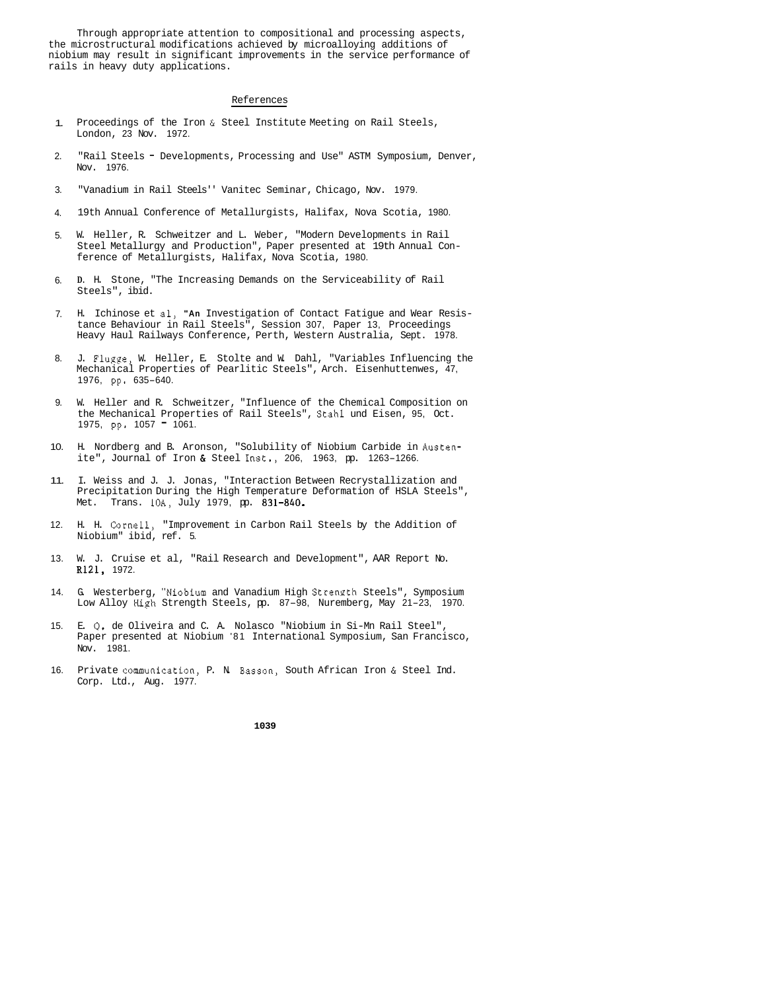Through appropriate attention to compositional and processing aspects, the microstructural modifications achieved by microalloying additions of niobium may result in significant improvements in the service performance of rails in heavy duty applications.

#### References

- 1. Proceedings of the Iron & Steel Institute Meeting on Rail Steels, London, 23 Nov. 1972.
- 2. "Rail Steels - Developments, Processing and Use" ASTM Symposium, Denver, Nov. 1976.
- 3. "Vanadium in Rail Steels'' Vanitec Seminar, Chicago, Nov. 1979.
- 4. 19th Annual Conference of Metallurgists, Halifax, Nova Scotia, 1980.
- 5. W. Heller, R. Schweitzer and L. Weber, "Modern Developments in Rail Steel Metallurgy and Production", Paper presented at 19th Annual Conference of Metallurgists, Halifax, Nova Scotia, 1980.
- 6. **D.** H. Stone, "The Increasing Demands on the Serviceability of Rail Steels", ibid.
- 7. H. Ichinose et al, **"An** Investigation of Contact Fatigue and Wear Resistance Behaviour in Rail Steels", Session 307, Paper 13, Proceedings Heavy Haul Railways Conference, Perth, Western Australia, Sept. 1978.
- 8. J. Flugge, W. Heller, E. Stolte and W. Dahl, "Variables Influencing the Mechanical Properties of Pearlitic Steels", Arch. Eisenhuttenwes, 47, 1976, pp. 635-640.
- 9. W. Heller and R. Schweitzer, "Influence of the Chemical Composition on the Mechanical Properties of Rail Steels", Stahl und Eisen, 95, Oct. 1975, pp. 1057 = 1061.
- 10. H. Nordberg and B. Aronson, "Solubility of Niobium Carbide in Austenite", Journal of Iron & Steel Inst., 206, 1963, pp. 1263-1266.
- 11. I. Weiss and J. J. Jonas, "Interaction Between Recrystallization and Precipitation During the High Temperature Deformation of HSLA Steels", Met. Trans. 10A, July 1979, pp. 831-840.
- 12. H. H. Cornell, "Improvement in Carbon Rail Steels by the Addition of Niobium" ibid, ref. 5.
- 13. W. J. Cruise et al, "Rail Research and Development", AAR Report No. R121, 1972.
- 14. G. Westerberg, "Niobium and Vanadium High Strength Steels", Symposium Low Alloy High Strength Steels, pp. 87-98, Nuremberg, May 21-23, 1970.
- 15. E. *0.* de Oliveira and C. A. Nolasco "Niobium in Si-Mn Rail Steel", Paper presented at Niobium '81 International Symposium, San Francisco, Nov. 1981.
- 16. Private communication, P. N. Basson, South African Iron & Steel Ind. Corp. Ltd., Aug. 1977.